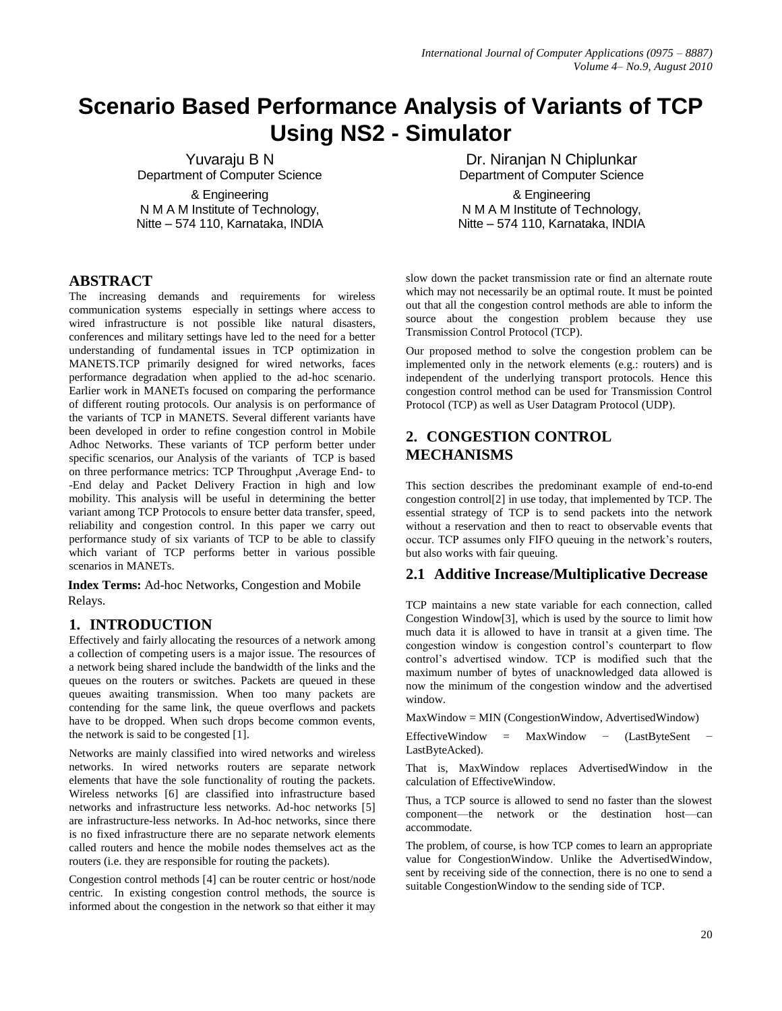# **Scenario Based Performance Analysis of Variants of TCP Using NS2 - Simulator**

Yuvaraju B N Department of Computer Science & Engineering N M A M Institute of Technology, Nitte – 574 110, Karnataka, INDIA

Dr. Niranjan N Chiplunkar Department of Computer Science

& Engineering N M A M Institute of Technology, Nitte – 574 110, Karnataka, INDIA

# **ABSTRACT**

The increasing demands and requirements for wireless communication systems especially in settings where access to wired infrastructure is not possible like natural disasters, conferences and military settings have led to the need for a better understanding of fundamental issues in TCP optimization in MANETS.TCP primarily designed for wired networks, faces performance degradation when applied to the ad-hoc scenario. Earlier work in MANETs focused on comparing the performance of different routing protocols. Our analysis is on performance of the variants of TCP in MANETS. Several different variants have been developed in order to refine congestion control in Mobile Adhoc Networks. These variants of TCP perform better under specific scenarios, our Analysis of the variants of TCP is based on three performance metrics: TCP Throughput ,Average End- to -End delay and Packet Delivery Fraction in high and low mobility. This analysis will be useful in determining the better variant among TCP Protocols to ensure better data transfer, speed, reliability and congestion control. In this paper we carry out performance study of six variants of TCP to be able to classify which variant of TCP performs better in various possible scenarios in MANETs.

 **Index Terms:** Ad-hoc Networks, Congestion and Mobile Relays.

## **1. INTRODUCTION**

Effectively and fairly allocating the resources of a network among a collection of competing users is a major issue. The resources of a network being shared include the bandwidth of the links and the queues on the routers or switches. Packets are queued in these queues awaiting transmission. When too many packets are contending for the same link, the queue overflows and packets have to be dropped. When such drops become common events, the network is said to be congested [1].

Networks are mainly classified into wired networks and wireless networks. In wired networks routers are separate network elements that have the sole functionality of routing the packets. Wireless networks [6] are classified into infrastructure based networks and infrastructure less networks. Ad-hoc networks [5] are infrastructure-less networks. In Ad-hoc networks, since there is no fixed infrastructure there are no separate network elements called routers and hence the mobile nodes themselves act as the routers (i.e. they are responsible for routing the packets).

Congestion control methods [4] can be router centric or host/node centric. In existing congestion control methods, the source is informed about the congestion in the network so that either it may

slow down the packet transmission rate or find an alternate route which may not necessarily be an optimal route. It must be pointed out that all the congestion control methods are able to inform the source about the congestion problem because they use Transmission Control Protocol (TCP).

Our proposed method to solve the congestion problem can be implemented only in the network elements (e.g.: routers) and is independent of the underlying transport protocols. Hence this congestion control method can be used for Transmission Control Protocol (TCP) as well as User Datagram Protocol (UDP).

# **2. CONGESTION CONTROL MECHANISMS**

This section describes the predominant example of end-to-end congestion control[2] in use today, that implemented by TCP. The essential strategy of TCP is to send packets into the network without a reservation and then to react to observable events that occur. TCP assumes only FIFO queuing in the network's routers, but also works with fair queuing.

## **2.1 Additive Increase/Multiplicative Decrease**

TCP maintains a new state variable for each connection, called Congestion Window[3], which is used by the source to limit how much data it is allowed to have in transit at a given time. The congestion window is congestion control's counterpart to flow control's advertised window. TCP is modified such that the maximum number of bytes of unacknowledged data allowed is now the minimum of the congestion window and the advertised window.

MaxWindow = MIN (CongestionWindow, AdvertisedWindow)

EffectiveWindow = MaxWindow − (LastByteSent LastByteAcked).

That is, MaxWindow replaces AdvertisedWindow in the calculation of EffectiveWindow.

Thus, a TCP source is allowed to send no faster than the slowest component—the network or the destination host—can accommodate.

The problem, of course, is how TCP comes to learn an appropriate value for CongestionWindow. Unlike the AdvertisedWindow, sent by receiving side of the connection, there is no one to send a suitable CongestionWindow to the sending side of TCP.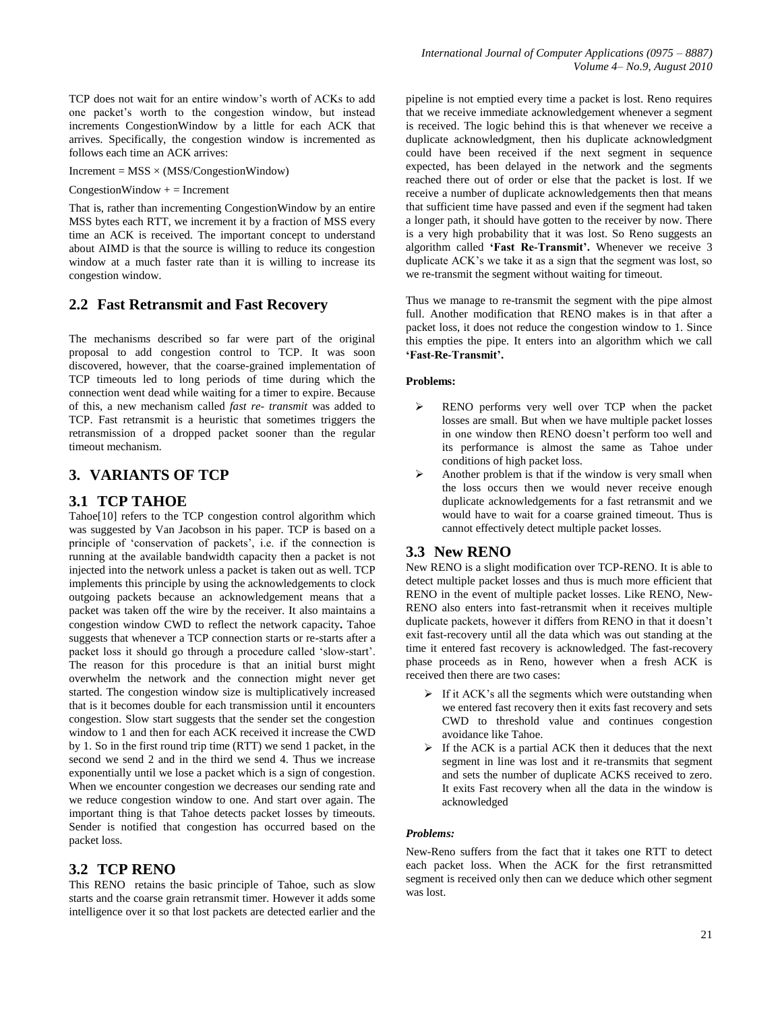TCP does not wait for an entire window's worth of ACKs to add one packet's worth to the congestion window, but instead increments CongestionWindow by a little for each ACK that arrives. Specifically, the congestion window is incremented as follows each time an ACK arrives:

 $Increment = MSS \times (MSS/CongestionWindow)$ 

 $CongestionWindow += Internet$ 

That is, rather than incrementing CongestionWindow by an entire MSS bytes each RTT, we increment it by a fraction of MSS every time an ACK is received. The important concept to understand about AIMD is that the source is willing to reduce its congestion window at a much faster rate than it is willing to increase its congestion window.

## **2.2 Fast Retransmit and Fast Recovery**

The mechanisms described so far were part of the original proposal to add congestion control to TCP. It was soon discovered, however, that the coarse-grained implementation of TCP timeouts led to long periods of time during which the connection went dead while waiting for a timer to expire. Because of this, a new mechanism called *fast re- transmit* was added to TCP. Fast retransmit is a heuristic that sometimes triggers the retransmission of a dropped packet sooner than the regular timeout mechanism.

## **3. VARIANTS OF TCP**

## **3.1 TCP TAHOE**

Tahoe[10] refers to the TCP congestion control algorithm which was suggested by Van Jacobson in his paper. TCP is based on a principle of 'conservation of packets', i.e. if the connection is running at the available bandwidth capacity then a packet is not injected into the network unless a packet is taken out as well. TCP implements this principle by using the acknowledgements to clock outgoing packets because an acknowledgement means that a packet was taken off the wire by the receiver. It also maintains a congestion window CWD to reflect the network capacity**.** Tahoe suggests that whenever a TCP connection starts or re-starts after a packet loss it should go through a procedure called 'slow-start'. The reason for this procedure is that an initial burst might overwhelm the network and the connection might never get started. The congestion window size is multiplicatively increased that is it becomes double for each transmission until it encounters congestion. Slow start suggests that the sender set the congestion window to 1 and then for each ACK received it increase the CWD by 1. So in the first round trip time (RTT) we send 1 packet, in the second we send 2 and in the third we send 4. Thus we increase exponentially until we lose a packet which is a sign of congestion. When we encounter congestion we decreases our sending rate and we reduce congestion window to one. And start over again. The important thing is that Tahoe detects packet losses by timeouts. Sender is notified that congestion has occurred based on the packet loss.

#### **3.2 TCP RENO**

This RENO retains the basic principle of Tahoe, such as slow starts and the coarse grain retransmit timer. However it adds some intelligence over it so that lost packets are detected earlier and the

pipeline is not emptied every time a packet is lost. Reno requires that we receive immediate acknowledgement whenever a segment is received. The logic behind this is that whenever we receive a duplicate acknowledgment, then his duplicate acknowledgment could have been received if the next segment in sequence expected, has been delayed in the network and the segments reached there out of order or else that the packet is lost. If we receive a number of duplicate acknowledgements then that means that sufficient time have passed and even if the segment had taken a longer path, it should have gotten to the receiver by now. There is a very high probability that it was lost. So Reno suggests an algorithm called **'Fast Re-Transmit'.** Whenever we receive 3 duplicate ACK's we take it as a sign that the segment was lost, so we re-transmit the segment without waiting for timeout.

Thus we manage to re-transmit the segment with the pipe almost full. Another modification that RENO makes is in that after a packet loss, it does not reduce the congestion window to 1. Since this empties the pipe. It enters into an algorithm which we call **'Fast-Re-Transmit'.** 

#### **Problems:**

- RENO performs very well over TCP when the packet losses are small. But when we have multiple packet losses in one window then RENO doesn't perform too well and its performance is almost the same as Tahoe under conditions of high packet loss.
- Another problem is that if the window is very small when the loss occurs then we would never receive enough duplicate acknowledgements for a fast retransmit and we would have to wait for a coarse grained timeout. Thus is cannot effectively detect multiple packet losses.

#### **3.3 New RENO**

New RENO is a slight modification over TCP-RENO. It is able to detect multiple packet losses and thus is much more efficient that RENO in the event of multiple packet losses. Like RENO, New-RENO also enters into fast-retransmit when it receives multiple duplicate packets, however it differs from RENO in that it doesn't exit fast-recovery until all the data which was out standing at the time it entered fast recovery is acknowledged. The fast-recovery phase proceeds as in Reno, however when a fresh ACK is received then there are two cases:

- $\triangleright$  If it ACK's all the segments which were outstanding when we entered fast recovery then it exits fast recovery and sets CWD to threshold value and continues congestion avoidance like Tahoe.
- $\triangleright$  If the ACK is a partial ACK then it deduces that the next segment in line was lost and it re-transmits that segment and sets the number of duplicate ACKS received to zero. It exits Fast recovery when all the data in the window is acknowledged

#### *Problems:*

New-Reno suffers from the fact that it takes one RTT to detect each packet loss. When the ACK for the first retransmitted segment is received only then can we deduce which other segment was lost.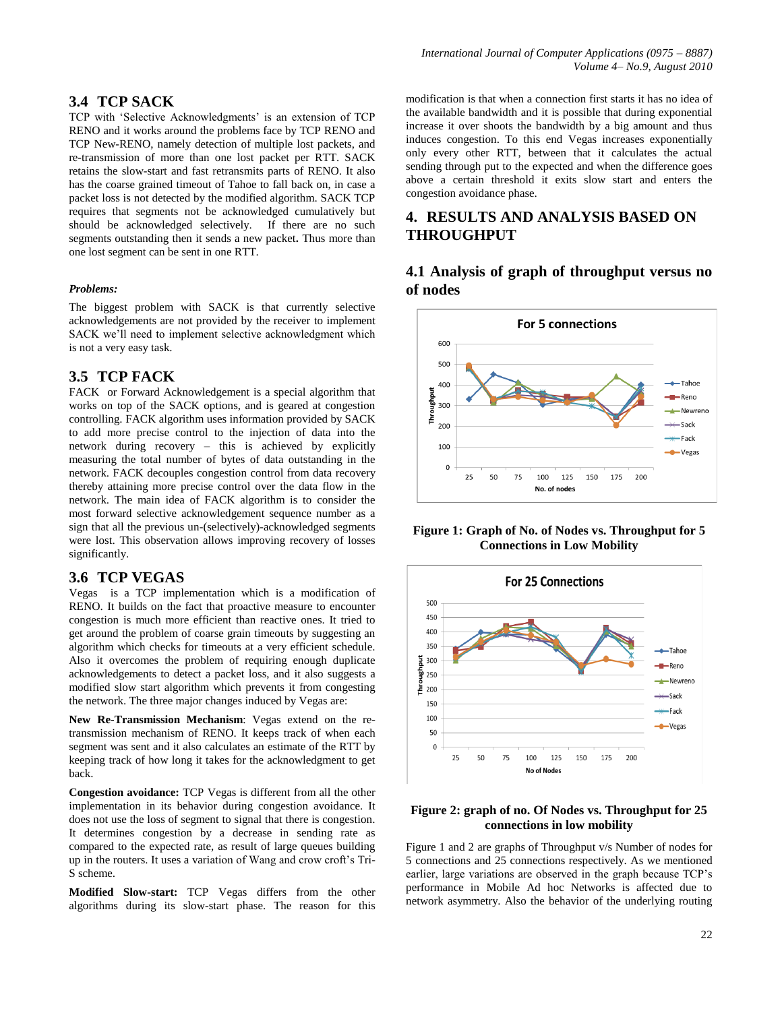TCP with 'Selective Acknowledgments' is an extension of TCP RENO and it works around the problems face by TCP RENO and TCP New-RENO, namely detection of multiple lost packets, and re-transmission of more than one lost packet per RTT. SACK retains the slow-start and fast retransmits parts of RENO. It also has the coarse grained timeout of Tahoe to fall back on, in case a packet loss is not detected by the modified algorithm. SACK TCP requires that segments not be acknowledged cumulatively but should be acknowledged selectively. If there are no such segments outstanding then it sends a new packet**.** Thus more than one lost segment can be sent in one RTT.

#### *Problems:*

The biggest problem with SACK is that currently selective acknowledgements are not provided by the receiver to implement SACK we'll need to implement selective acknowledgment which is not a very easy task.

## **3.5 TCP FACK**

FACK or Forward Acknowledgement is a special algorithm that works on top of the SACK options, and is geared at congestion controlling. FACK algorithm uses information provided by SACK to add more precise control to the injection of data into the network during recovery – this is achieved by explicitly measuring the total number of bytes of data outstanding in the network. FACK decouples congestion control from data recovery thereby attaining more precise control over the data flow in the network. The main idea of FACK algorithm is to consider the most forward selective acknowledgement sequence number as a sign that all the previous un-(selectively)-acknowledged segments were lost. This observation allows improving recovery of losses significantly.

## **3.6 TCP VEGAS**

Vegas is a TCP implementation which is a modification of RENO. It builds on the fact that proactive measure to encounter congestion is much more efficient than reactive ones. It tried to get around the problem of coarse grain timeouts by suggesting an algorithm which checks for timeouts at a very efficient schedule. Also it overcomes the problem of requiring enough duplicate acknowledgements to detect a packet loss, and it also suggests a modified slow start algorithm which prevents it from congesting the network. The three major changes induced by Vegas are:

**New Re-Transmission Mechanism**: Vegas extend on the retransmission mechanism of RENO. It keeps track of when each segment was sent and it also calculates an estimate of the RTT by keeping track of how long it takes for the acknowledgment to get back.

**Congestion avoidance:** TCP Vegas is different from all the other implementation in its behavior during congestion avoidance. It does not use the loss of segment to signal that there is congestion. It determines congestion by a decrease in sending rate as compared to the expected rate, as result of large queues building up in the routers. It uses a variation of Wang and crow croft's Tri-S scheme.

**Modified Slow-start:** TCP Vegas differs from the other algorithms during its slow-start phase. The reason for this

modification is that when a connection first starts it has no idea of the available bandwidth and it is possible that during exponential increase it over shoots the bandwidth by a big amount and thus induces congestion. To this end Vegas increases exponentially only every other RTT, between that it calculates the actual sending through put to the expected and when the difference goes above a certain threshold it exits slow start and enters the congestion avoidance phase.

# **4. RESULTS AND ANALYSIS BASED ON THROUGHPUT**

## **4.1 Analysis of graph of throughput versus no of nodes**



**Figure 1: Graph of No. of Nodes vs. Throughput for 5 Connections in Low Mobility**



#### **Figure 2: graph of no. Of Nodes vs. Throughput for 25 connections in low mobility**

Figure 1 and 2 are graphs of Throughput v/s Number of nodes for 5 connections and 25 connections respectively. As we mentioned earlier, large variations are observed in the graph because TCP's performance in Mobile Ad hoc Networks is affected due to network asymmetry. Also the behavior of the underlying routing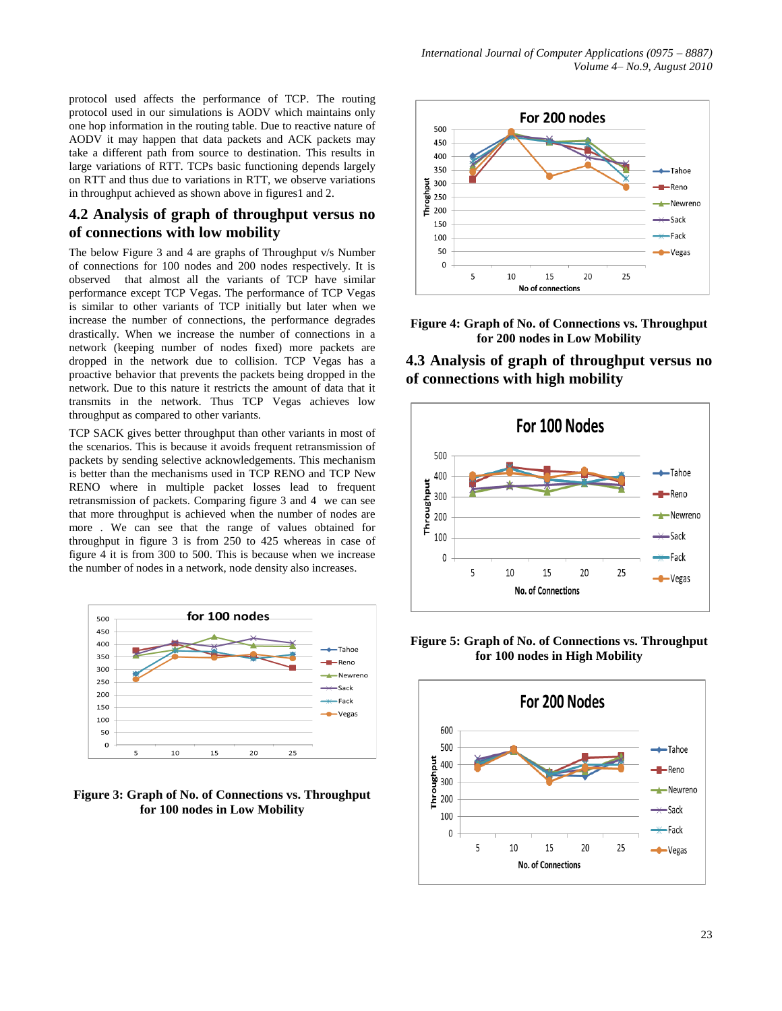protocol used affects the performance of TCP. The routing protocol used in our simulations is AODV which maintains only one hop information in the routing table. Due to reactive nature of AODV it may happen that data packets and ACK packets may take a different path from source to destination. This results in large variations of RTT. TCPs basic functioning depends largely on RTT and thus due to variations in RTT, we observe variations in throughput achieved as shown above in figures1 and 2.

## **4.2 Analysis of graph of throughput versus no of connections with low mobility**

The below Figure 3 and 4 are graphs of Throughput v/s Number of connections for 100 nodes and 200 nodes respectively. It is observed that almost all the variants of TCP have similar performance except TCP Vegas. The performance of TCP Vegas is similar to other variants of TCP initially but later when we increase the number of connections, the performance degrades drastically. When we increase the number of connections in a network (keeping number of nodes fixed) more packets are dropped in the network due to collision. TCP Vegas has a proactive behavior that prevents the packets being dropped in the network. Due to this nature it restricts the amount of data that it transmits in the network. Thus TCP Vegas achieves low throughput as compared to other variants.

TCP SACK gives better throughput than other variants in most of the scenarios. This is because it avoids frequent retransmission of packets by sending selective acknowledgements. This mechanism is better than the mechanisms used in TCP RENO and TCP New RENO where in multiple packet losses lead to frequent retransmission of packets. Comparing figure 3 and 4 we can see that more throughput is achieved when the number of nodes are more . We can see that the range of values obtained for throughput in figure 3 is from 250 to 425 whereas in case of figure 4 it is from 300 to 500. This is because when we increase the number of nodes in a network, node density also increases.



## **Figure 3: Graph of No. of Connections vs. Throughput for 100 nodes in Low Mobility**



**Figure 4: Graph of No. of Connections vs. Throughput for 200 nodes in Low Mobility**

**4.3 Analysis of graph of throughput versus no of connections with high mobility**



**Figure 5: Graph of No. of Connections vs. Throughput for 100 nodes in High Mobility**